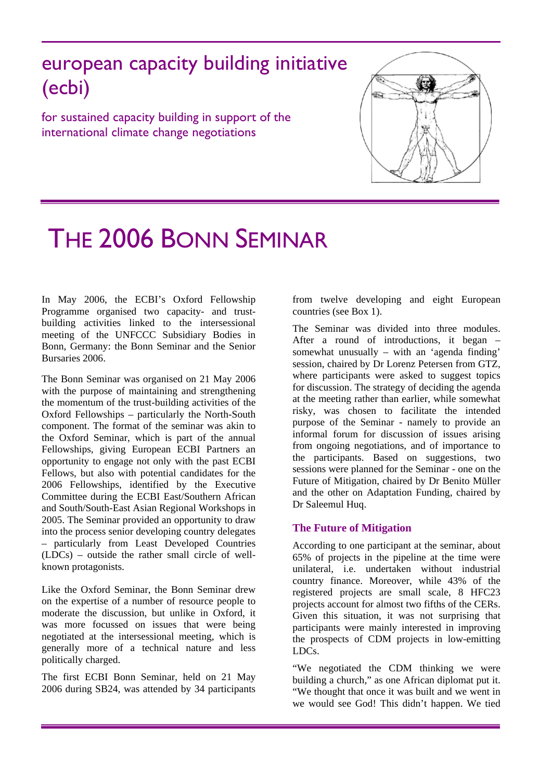european capacity building initiative (ecbi)

for sustained capacity building in support of the international climate change negotiations



# THE 2006 BONN SEMINAR

In May 2006, the ECBI's Oxford Fellowship Programme organised two capacity- and trustbuilding activities linked to the intersessional meeting of the UNFCCC Subsidiary Bodies in Bonn, Germany: the Bonn Seminar and the Senior Bursaries 2006.

The Bonn Seminar was organised on 21 May 2006 with the purpose of maintaining and strengthening the momentum of the trust-building activities of the Oxford Fellowships – particularly the North-South component. The format of the seminar was akin to the Oxford Seminar, which is part of the annual Fellowships, giving European ECBI Partners an opportunity to engage not only with the past ECBI Fellows, but also with potential candidates for the 2006 Fellowships, identified by the Executive Committee during the ECBI East/Southern African and South/South-East Asian Regional Workshops in 2005. The Seminar provided an opportunity to draw into the process senior developing country delegates – particularly from Least Developed Countries (LDCs) – outside the rather small circle of wellknown protagonists.

Like the Oxford Seminar, the Bonn Seminar drew on the expertise of a number of resource people to moderate the discussion, but unlike in Oxford, it was more focussed on issues that were being negotiated at the intersessional meeting, which is generally more of a technical nature and less politically charged.

The first ECBI Bonn Seminar, held on 21 May 2006 during SB24, was attended by 34 participants from twelve developing and eight European countries (see Box 1).

The Seminar was divided into three modules. After a round of introductions, it began – somewhat unusually – with an 'agenda finding' session, chaired by Dr Lorenz Petersen from GTZ, where participants were asked to suggest topics for discussion. The strategy of deciding the agenda at the meeting rather than earlier, while somewhat risky, was chosen to facilitate the intended purpose of the Seminar - namely to provide an informal forum for discussion of issues arising from ongoing negotiations, and of importance to the participants. Based on suggestions, two sessions were planned for the Seminar - one on the Future of Mitigation, chaired by Dr Benito Müller and the other on Adaptation Funding, chaired by Dr Saleemul Huq.

## **The Future of Mitigation**

According to one participant at the seminar, about 65% of projects in the pipeline at the time were unilateral, i.e. undertaken without industrial country finance. Moreover, while 43% of the registered projects are small scale, 8 HFC23 projects account for almost two fifths of the CERs. Given this situation, it was not surprising that participants were mainly interested in improving the prospects of CDM projects in low-emitting LDCs.

"We negotiated the CDM thinking we were building a church," as one African diplomat put it. "We thought that once it was built and we went in we would see God! This didn't happen. We tied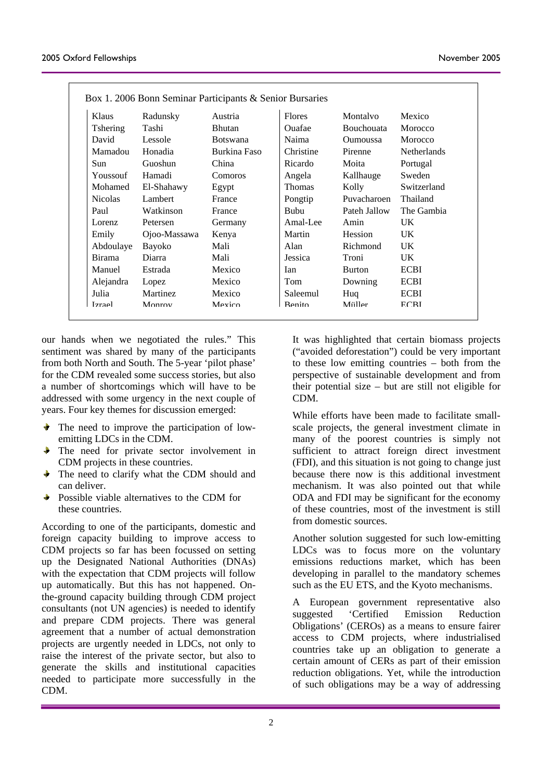| Box 1. 2006 Bonn Seminar Participants & Senior Bursaries |                  |                 |                 |               |                   |                    |
|----------------------------------------------------------|------------------|-----------------|-----------------|---------------|-------------------|--------------------|
|                                                          | Klaus            | Radunsky        | Austria         | <b>Flores</b> | Montalvo          | Mexico             |
|                                                          | <b>T</b> shering | Tashi           | Bhutan          | Ouafae        | <b>Bouchouata</b> | Morocco            |
|                                                          | David            | Lessole         | <b>Botswana</b> | Naima         | <b>Oumoussa</b>   | Morocco            |
|                                                          | Mamadou          | Honadia         | Burkina Faso    | Christine     | Pirenne           | <b>Netherlands</b> |
|                                                          | Sun              | Guoshun         | China           | Ricardo       | Moita             | Portugal           |
|                                                          | Youssouf         | Hamadi          | Comoros         | Angela        | Kallhauge         | Sweden             |
|                                                          | Mohamed          | El-Shahawy      | Egypt           | <b>Thomas</b> | Kolly             | Switzerland        |
|                                                          | <b>Nicolas</b>   | Lambert         | France          | Pongtip       | Puvacharoen       | Thailand           |
|                                                          | Paul             | Watkinson       | France          | Bubu          | Pateh Jallow      | The Gambia         |
|                                                          | Lorenz           | Petersen        | Germany         | Amal-Lee      | Amin              | UK.                |
|                                                          | Emily            | Ojoo-Massawa    | Kenya           | Martin        | Hession           | UK.                |
|                                                          | Abdoulaye        | Bayoko          | Mali            | Alan          | Richmond          | UK.                |
|                                                          | <b>Birama</b>    | Diarra          | Mali            | Jessica       | Troni             | UK.                |
|                                                          | Manuel           | Estrada         | Mexico          | <b>Ian</b>    | <b>Burton</b>     | <b>ECBI</b>        |
|                                                          | Alejandra        | Lopez           | Mexico          | Tom           | Downing           | <b>ECBI</b>        |
|                                                          | Julia            | <b>Martinez</b> | Mexico          | Saleemul      | Huq               | <b>ECBI</b>        |
|                                                          | <b>Izrael</b>    | Monroy          | Mexico          | Renito        | Miiller           | <b>FCRI</b>        |
|                                                          |                  |                 |                 |               |                   |                    |

our hands when we negotiated the rules." This sentiment was shared by many of the participants from both North and South. The 5-year 'pilot phase' for the CDM revealed some success stories, but also a number of shortcomings which will have to be addressed with some urgency in the next couple of years. Four key themes for discussion emerged:

- The need to improve the participation of lowemitting LDCs in the CDM.
- $\blacktriangleright$  The need for private sector involvement in CDM projects in these countries.
- The need to clarify what the CDM should and can deliver.
- Possible viable alternatives to the CDM for ÷. these countries.

According to one of the participants, domestic and foreign capacity building to improve access to CDM projects so far has been focussed on setting up the Designated National Authorities (DNAs) with the expectation that CDM projects will follow up automatically. But this has not happened. Onthe-ground capacity building through CDM project consultants (not UN agencies) is needed to identify and prepare CDM projects. There was general agreement that a number of actual demonstration projects are urgently needed in LDCs, not only to raise the interest of the private sector, but also to generate the skills and institutional capacities needed to participate more successfully in the CDM.

It was highlighted that certain biomass projects ("avoid ed deforestation") could be very important to these low emitting countries – both from the perspective of sustainable development and from their potential size – but are still not eligible for CDM.

scale projects, the general investment climate in While efforts have been made to facilitate smallmany of the poorest countries is simply not sufficient to attract foreign direct investment (FDI), and this situation is not going to change just because there now is this additional investment mechanism. It was also pointed out that while ODA and FDI may be significant for the economy of these countries, most of the investment is still from domestic sources.

LDCs was to focus more on the voluntary Another solution suggested for such low-emitting emissions reductions market, which has been developing in parallel to the mandatory schemes such as the EU ETS, and the Kyoto mechanisms.

A European government representative also suggested 'Certified Emission Reduction Obligations' (CEROs) as a means to ensure fairer access to CDM projects, where industrialised countries take up an obligation to generate a certain amount of CERs as part of their emission reduction obligations. Yet, while the introduction of such obligations may be a way of addressing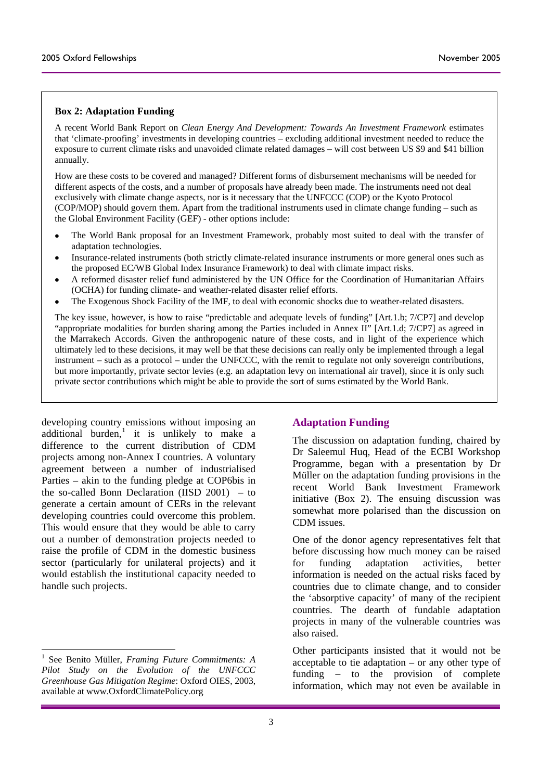### **Box 2: Adaptation Funding**

A recent World Bank Report on *Clean Energy And Development: Towards An Investment Framework* estimates that 'climate-proofing' investments in developing countries – excluding additional investment needed to reduce the exposure to current climate risks and unavoided climate related damages – will cost between US \$9 and \$41 billion annually.

How are these costs to be covered and managed? Different forms of disbursement mechanisms will be needed for different aspects of the costs, and a number of proposals have already been made. The instruments need not deal exclusively with climate change aspects, nor is it necessary that the UNFCCC (COP) or the Kyoto Protocol (COP/MOP) should govern them. Apart from the traditional instruments used in climate change funding – such as the Global Environment Facility (GEF) - other options include:

- The World Bank proposal for an Investment Framework, probably most suited to deal with the transfer of adaptation technologies.
- Insurance-related instruments (both strictly climate-related insurance instruments or more general ones such as the proposed EC/WB Global Index Insurance Framework) to deal with climate impact risks.
- A reformed disaster relief fund administered by the UN Office for the Coordination of Humanitarian Affairs (OCHA) for funding climate- and weather-related disaster relief efforts.
- The Exogenous Shock Facility of the IMF, to deal with economic shocks due to weather-related disasters.

The key issue, however, is how to raise "predictable and adequate levels of funding" [Art.1.b; 7/CP7] and develop "appropriate modalities for burden sharing among the Parties included in Annex II" [Art.1.d; 7/CP7] as agreed in the Marrakech Accords. Given the anthropogenic nature of these costs, and in light of the experience which ultimately led to these decisions, it may well be that these decisions can really only be implemented through a legal instrument – such as a protocol – under the UNFCCC, with the remit to regulate not only sovereign contributions, but more importantly, private sector levies (e.g. an adaptation levy on international air travel), since it is only such private sector contributions which might be able to provide the sort of sums estimated by the World Bank.

developing country emissions without imposing an additional burden,<sup>[1](#page-2-0)</sup> it is unlikely to make a difference to the current distribution of CDM projects among non-Annex I countries. A voluntary agreement between a number of industrialised Parties – akin to the funding pledge at COP6bis in the so-called Bonn Declaration (IISD 2001) – to generate a certain amount of CERs in the relevant developing countries could overcome this problem. This would ensure that they would be able to carry out a number of demonstration projects needed to raise the profile of CDM in the domestic business sector (particularly for unilateral projects) and it would establish the institutional capacity needed to handle such projects.

-

## **Adaptation Funding**

The discussion on adaptation funding, chaired by Dr Saleemul Huq, Head of the ECBI Workshop Programme, began with a presentation by Dr Müller on the adaptation funding provisions in the recent World Bank Investment Framework initiative (Box 2). The ensuing discussion was somewhat more polarised than the discussion on CDM issues.

One of the donor agency representatives felt that before discussing how much money can be raised for funding adaptation activities, better information is needed on the actual risks faced by countries due to climate change, and to consider the 'absorptive capacity' of many of the recipient countries. The dearth of fundable adaptation projects in many of the vulnerable countries was also raised.

 $\overline{\text{Other participants}^1}$  See Bonite Müller, Francis Euture Commitmental A acceptable to tie adaptation – or any other type of funding – to the provision of complete information, which may not even be available in

<span id="page-2-0"></span>See Benito Müller, *Framing Future Commitments: A Pilot Study on the Evolution of the UNFCCC Greenhouse Gas Mitigation Regime*: Oxford OIES, 2003, available at www.OxfordClimatePolicy.org